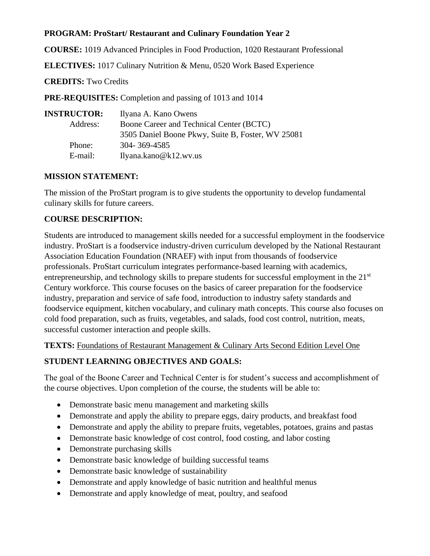## **PROGRAM: ProStart/ Restaurant and Culinary Foundation Year 2**

**COURSE:** 1019 Advanced Principles in Food Production, 1020 Restaurant Professional

**ELECTIVES:** 1017 Culinary Nutrition & Menu, 0520 Work Based Experience

**CREDITS:** Two Credits

**PRE-REQUISITES:** Completion and passing of 1013 and 1014

| <b>INSTRUCTOR:</b> | Ilyana A. Kano Owens                              |
|--------------------|---------------------------------------------------|
| Address:           | Boone Career and Technical Center (BCTC)          |
|                    | 3505 Daniel Boone Pkwy, Suite B, Foster, WV 25081 |
| Phone:             | 304-369-4585                                      |
| E-mail:            | Ilyana.kano@k12.wv.us                             |

#### **MISSION STATEMENT:**

The mission of the ProStart program is to give students the opportunity to develop fundamental culinary skills for future careers.

#### **COURSE DESCRIPTION:**

Students are introduced to management skills needed for a successful employment in the foodservice industry. ProStart is a foodservice industry-driven curriculum developed by the National Restaurant Association Education Foundation (NRAEF) with input from thousands of foodservice professionals. ProStart curriculum integrates performance-based learning with academics, entrepreneurship, and technology skills to prepare students for successful employment in the  $21<sup>st</sup>$ Century workforce. This course focuses on the basics of career preparation for the foodservice industry, preparation and service of safe food, introduction to industry safety standards and foodservice equipment, kitchen vocabulary, and culinary math concepts. This course also focuses on cold food preparation, such as fruits, vegetables, and salads, food cost control, nutrition, meats, successful customer interaction and people skills.

**TEXTS:** Foundations of Restaurant Management & Culinary Arts Second Edition Level One

## **STUDENT LEARNING OBJECTIVES AND GOALS:**

The goal of the Boone Career and Technical Center is for student's success and accomplishment of the course objectives. Upon completion of the course, the students will be able to:

- Demonstrate basic menu management and marketing skills
- Demonstrate and apply the ability to prepare eggs, dairy products, and breakfast food
- Demonstrate and apply the ability to prepare fruits, vegetables, potatoes, grains and pastas
- Demonstrate basic knowledge of cost control, food costing, and labor costing
- Demonstrate purchasing skills
- Demonstrate basic knowledge of building successful teams
- Demonstrate basic knowledge of sustainability
- Demonstrate and apply knowledge of basic nutrition and healthful menus
- Demonstrate and apply knowledge of meat, poultry, and seafood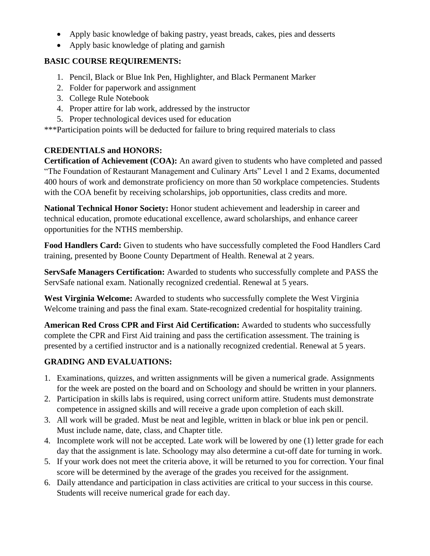- Apply basic knowledge of baking pastry, yeast breads, cakes, pies and desserts
- Apply basic knowledge of plating and garnish

#### **BASIC COURSE REQUIREMENTS:**

- 1. Pencil, Black or Blue Ink Pen, Highlighter, and Black Permanent Marker
- 2. Folder for paperwork and assignment
- 3. College Rule Notebook
- 4. Proper attire for lab work, addressed by the instructor
- 5. Proper technological devices used for education

\*\*\*Participation points will be deducted for failure to bring required materials to class

## **CREDENTIALS and HONORS:**

**Certification of Achievement (COA):** An award given to students who have completed and passed "The Foundation of Restaurant Management and Culinary Arts" Level 1 and 2 Exams, documented 400 hours of work and demonstrate proficiency on more than 50 workplace competencies. Students with the COA benefit by receiving scholarships, job opportunities, class credits and more.

**National Technical Honor Society:** Honor student achievement and leadership in career and technical education, promote educational excellence, award scholarships, and enhance career opportunities for the NTHS membership.

**Food Handlers Card:** Given to students who have successfully completed the Food Handlers Card training, presented by Boone County Department of Health. Renewal at 2 years.

**ServSafe Managers Certification:** Awarded to students who successfully complete and PASS the ServSafe national exam. Nationally recognized credential. Renewal at 5 years.

**West Virginia Welcome:** Awarded to students who successfully complete the West Virginia Welcome training and pass the final exam. State-recognized credential for hospitality training.

**American Red Cross CPR and First Aid Certification:** Awarded to students who successfully complete the CPR and First Aid training and pass the certification assessment. The training is presented by a certified instructor and is a nationally recognized credential. Renewal at 5 years.

## **GRADING AND EVALUATIONS:**

- 1. Examinations, quizzes, and written assignments will be given a numerical grade. Assignments for the week are posted on the board and on Schoology and should be written in your planners.
- 2. Participation in skills labs is required, using correct uniform attire. Students must demonstrate competence in assigned skills and will receive a grade upon completion of each skill.
- 3. All work will be graded. Must be neat and legible, written in black or blue ink pen or pencil. Must include name, date, class, and Chapter title.
- 4. Incomplete work will not be accepted. Late work will be lowered by one (1) letter grade for each day that the assignment is late. Schoology may also determine a cut-off date for turning in work.
- 5. If your work does not meet the criteria above, it will be returned to you for correction. Your final score will be determined by the average of the grades you received for the assignment.
- 6. Daily attendance and participation in class activities are critical to your success in this course. Students will receive numerical grade for each day.